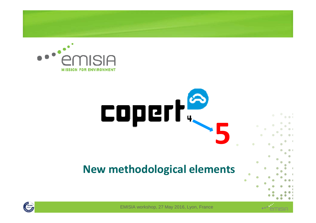





EMISIA workshop, 27 May 2016, Lyon, France

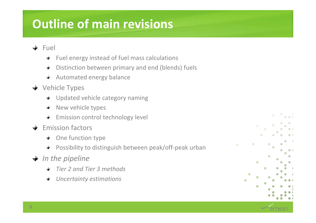# **Outline of main revisions**

- $\div$  Fuel
	- $\div$  Fuel energy instead of fuel mass calculations
	- Distinction between primary and end (blends) fuels $\ddot{}$
	- $\div$  Automated energy balance
- **→** Vehicle Types
	- **→** Updated vehicle category naming
	- $\div$  New vehicle types
	- **Emission control technology level**
- $\div$  Emission factors
	- **← One function type**
	- Possibility to distinguish between peak/off-peak urban**★**
- **→** *In the pipeline* 
	- *Tier 2 and Tier 3 methods*
	- *Uncertainty estimations* $\div$

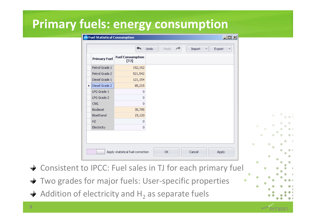### **Primary fuels: energy consumption**

|                     |                                | Undo | Redo | $\rightarrow$ | Import | Export |  |           |   |           |  |
|---------------------|--------------------------------|------|------|---------------|--------|--------|--|-----------|---|-----------|--|
| <b>Primary Fuel</b> | <b>Fuel Consumption</b><br>[T] |      |      |               |        |        |  |           |   |           |  |
| Petrol Grade 1      | 152,152                        |      |      |               |        |        |  |           |   |           |  |
| Petrol Grade 2      | 521,542                        |      |      |               |        |        |  |           |   |           |  |
| Diesel Grade 1      | 121,154                        |      |      |               |        |        |  |           |   |           |  |
| Diesel Grade 2      | 85,215                         |      |      |               |        |        |  |           |   |           |  |
| LPG Grade 1         | 0                              |      |      |               |        |        |  |           |   |           |  |
| LPG Grade 2         | 0                              |      |      |               |        |        |  |           |   |           |  |
| CNG.                | $\circ$                        |      |      |               |        |        |  |           |   |           |  |
| Biodiesel           | 35,785                         |      |      |               |        |        |  |           |   |           |  |
| Bioethanol          | 15,120                         |      |      |               |        |        |  |           |   | $\bullet$ |  |
| H2                  | $\overline{0}$                 |      |      |               |        |        |  |           |   |           |  |
| Electricity         | 0                              |      |      |               |        |        |  | $\bullet$ | ۰ | ۰         |  |
|                     |                                |      |      |               |        |        |  |           | ۰ |           |  |
|                     |                                |      |      |               |        |        |  |           |   |           |  |
|                     |                                |      |      |               |        |        |  | $\bullet$ |   | $\bullet$ |  |

- ◆ Consistent to IPCC: Fuel sales in TJ for each primary fuel
- Two grades for major fuels: User-specific properties $\rightarrow$
- Addition of electricity and  $\mathsf{H}_2$ <sub>2</sub> as separate fuels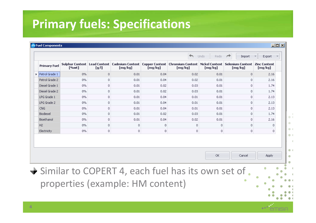## **Primary fuels: Specifications**

| Undo<br>Redo<br>$\rightarrow$<br>Import<br>Sulphur Content   Lead Content   Cadmium Content   Copper Content   Chromium Content   Nickel Content   Selenium Content   Zinc Content |       |              |         |         |         |         |         |         |  |  |
|------------------------------------------------------------------------------------------------------------------------------------------------------------------------------------|-------|--------------|---------|---------|---------|---------|---------|---------|--|--|
| <b>Primary Fuel</b>                                                                                                                                                                | [%wt] | [g/l]        | [mg/kg] | [mg/kg] | [mg/kg] | [mg/kg] | [mg/kg] | [mg/kg] |  |  |
| $\blacktriangleright$ Petrol Grade 1                                                                                                                                               | $0\%$ | $\circ$      | 0.01    | 0.04    | 0.02    | 0.01    | 0       | 2.16    |  |  |
| Petrol Grade 2                                                                                                                                                                     | $0\%$ | $\Omega$     | 0.01    | 0.04    | 0.02    | 0.01    | 0       | 2.16    |  |  |
| Diesel Grade 1                                                                                                                                                                     | 0%    | 0            | 0.01    | 0.02    | 0.03    | 0.01    | 0       | 1.74    |  |  |
| Diesel Grade 2                                                                                                                                                                     | 0%    | $\circ$      | 0.01    | 0.02    | 0.03    | 0.01    | 0       | 1.74    |  |  |
| LPG Grade 1                                                                                                                                                                        | 0%    | $\mathbf{0}$ | 0.01    | 0.04    | 0.01    | 0.01    | 0       | 2.13    |  |  |
| LPG Grade 2                                                                                                                                                                        | 0%    | 0            | 0.01    | 0.04    | 0.01    | 0.01    | 0       | 2.13    |  |  |
| CNG.                                                                                                                                                                               | 0%    | $\circ$      | 0.01    | 0.04    | 0.01    | 0.01    | 0.      | 2.13    |  |  |
| Biodiesel                                                                                                                                                                          | 0%    | 0            | 0.01    | 0.02    | 0.03    | 0.01    | 0       | 1.74    |  |  |
| Bioethanol                                                                                                                                                                         | $0\%$ | 0            | 0.01    | 0.04    | 0.02    | 0.01    | $\circ$ | 2.16    |  |  |
| H2                                                                                                                                                                                 | 0%    | 0            | 0       | $\circ$ | 0.      | 0       | 0       | 0       |  |  |
| Electricity                                                                                                                                                                        | $0\%$ | 0            | 0       | 0       | 0       | 0       | 0       | 0       |  |  |
|                                                                                                                                                                                    |       |              |         |         |         |         |         |         |  |  |
|                                                                                                                                                                                    |       |              |         |         |         | OK.     | Cancel  | Apply   |  |  |

 $0<sup>0</sup>$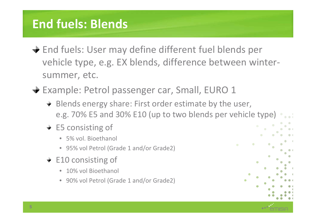## **End fuels: Blends**

- $\div$  **End fuels: User may define different fuel blends per** vehicle type, e.g. EX blends, difference between wintersummer, etc.
- $\div$  **Example: Petrol passenger car, Small, EURO 1** 
	- $\div$  Blends energy share: First order estimate by the user, e.g. 70% E5 and 30% E10 (up to two blends per vehicle type)
	- $\div$  E5 consisting of
		- 5% vol. Bioethanol
		- 95% vol Petrol (Grade 1 and/or Grade2)
	- $\div$  E10 consisting of
		- 10% vol Bioethanol
		- 90% vol Petrol (Grade 1 and/or Grade2)

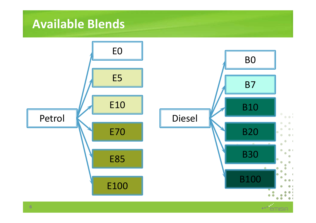### **Available Blends**



NISIA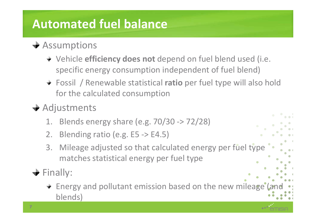# **Automated fuel balance**

- $\div$  Assumptions
	- Vehicle **efficiency does not** depend on fuel blend used (i.e. specific energy consumption independent of fuel blend)
	- Fossil / Renewable statistical **ratio** per fuel type will also hold for the calculated consumption
- $\rightarrow$  Adjustments
	- 1. Blends energy share (e.g. 70/30 -> 72/28)
	- 2. Blending ratio (e.g. E5 -> E4.5)
	- 3. Mileage adjusted so that calculated energy per fuel type matches statistical energy per fuel type
- $\div$  Finally:
	- $\div$  Energy and pollutant emission based on the new mileage (a blends)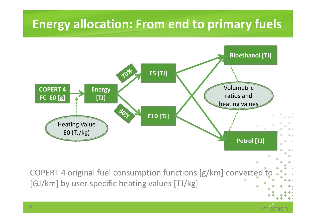## **Energy allocation: From end to primary fuels**

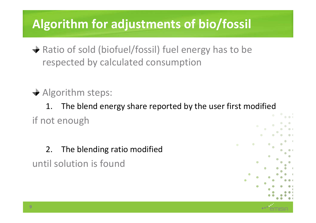## **Algorithm for adjustments of bio/fossil**

- $\rightarrow$  Ratio of sold (biofuel/fossil) fuel energy has to be respected by calculated consumption
- $\rightarrow$  Algorithm steps:

1. The blend energy share reported by the user first modifiedif not enough

2. The blending ratio modifieduntil solution is found

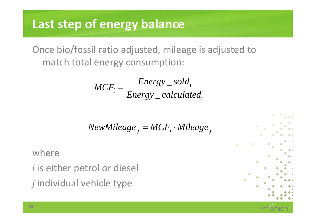### **Last step of energy balance**

Once bio/fossil ratio adjusted, mileage is adjusted to match total energy consumption:

$$
MCF_i = \frac{Energy\_ sold_i}{Energy\_calculated_i}
$$

$$
New Mileage_j = MCF_i \cdot Mileage_j
$$

where

*i* is either petrol or diesel *j* individual vehicle type

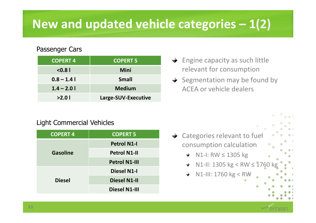## **New and updated vehicle categories – 1(2)**

#### Passenger Cars

| <b>COPERT 4</b> | <b>COPERT 5</b>     |
|-----------------|---------------------|
| < 0.81          | Mini                |
| $0.8 - 1.4$     | <b>Small</b>        |
| $1.4 - 2.0$     | <b>Medium</b>       |
| >2.01           | Large-SUV-Executive |

#### Light Commercial Vehicles

| <b>COPERT 4</b> | <b>COPERT 5</b>      |  |  |
|-----------------|----------------------|--|--|
|                 | <b>Petrol N1-I</b>   |  |  |
| <b>Gasoline</b> | <b>Petrol N1-II</b>  |  |  |
|                 | <b>Petrol N1-III</b> |  |  |
|                 | <b>Diesel N1-I</b>   |  |  |
| <b>Diesel</b>   | <b>Diesel N1-II</b>  |  |  |
|                 | <b>Diesel N1-III</b> |  |  |

- $\rightarrow$  Engine capacity as such little relevant for consumption
- $\rightarrow$  Segmentation may be found by ACEA or vehicle dealers

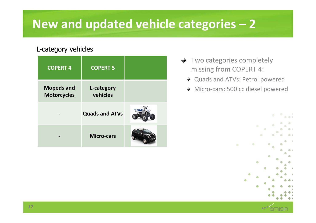## **New and updated vehicle categories – <sup>2</sup>**

#### L-category vehicles

| <b>COPERT 4</b>                         | <b>COPERT 5</b>        |  |
|-----------------------------------------|------------------------|--|
| <b>Mopeds and</b><br><b>Motorcycles</b> | L-category<br>vehicles |  |
|                                         | <b>Quads and ATVs</b>  |  |
|                                         | <b>Micro-cars</b>      |  |

- $\rightarrow$  Two categories completely missing from COPERT 4:
	- Quads and ATVs: Petrol powered
	- Micro-cars: 500 cc diesel powered



**12**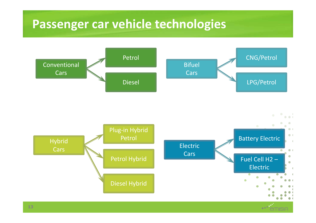### **Passenger car vehicle technologies**



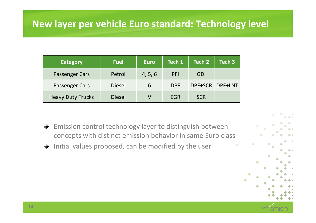### **New layer per vehicle Euro standard: Technology level**

| <b>Category</b>          | <b>Fuel</b>   | <b>Euro</b> | Tech 1     | Tech 2     | Tech 3          |
|--------------------------|---------------|-------------|------------|------------|-----------------|
| Passenger Cars           | Petrol        | 4, 5, 6     | PFI        | GDI        |                 |
| Passenger Cars           | <b>Diesel</b> | b           | <b>DPF</b> |            | DPF+SCR DPF+LNT |
| <b>Heavy Duty Trucks</b> | <b>Diesel</b> | V           | <b>EGR</b> | <b>SCR</b> |                 |

- Emission control technology layer to distinguish between  $\rightarrow$ concepts with distinct emission behavior in same Euro class
- $\rightarrow$ Initial values proposed, can be modified by the user

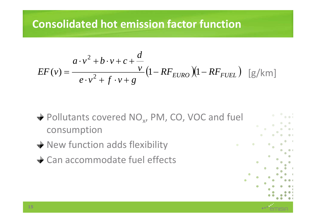### **Consolidated hot emission factor function**

$$
EF(v) = \frac{a \cdot v^2 + b \cdot v + c + \frac{d}{v}}{e \cdot v^2 + f \cdot v + g} \left(1 - RF_{EURO}\right) \left(1 - RF_{FUEL}\right) \quad \text{[g/km]}
$$

- Pollutants covered  $NO_{x}$ , PM, CO, VOC and fuel xconsumption
- ◆ New function adds flexibility
- **→ Can accommodate fuel effects**

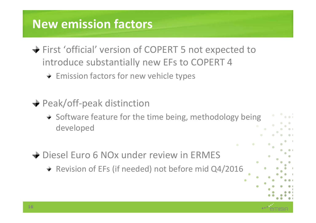## **New emission factors**

- $\div$  **First 'official' version of COPERT 5 not expected to** introduce substantially new EFs to COPERT 4
	- $\div$  Emission factors for new vehicle types
- **→ Peak/off-peak distinction** 
	- $\rightarrow$  Software feature for the time being, methodology being developed
- **→ Diesel Euro 6 NOx under review in ERMES** 
	- + Revision of EFs (if needed) not before mid Q4/2016

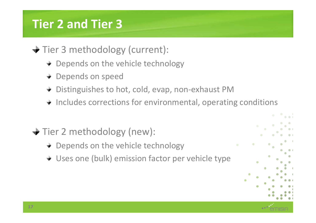## **Tier 2 and Tier 3**

- **→ Tier 3 methodology (current):** 
	- + Depends on the vehicle technology
	- + Depends on speed
	- Distinguishes to hot, cold, evap, non-exhaust PM
	- Includes corrections for environmental, operating conditions
- **→ Tier 2 methodology (new):** 
	- + Depends on the vehicle technology
	- Uses one (bulk) emission factor per vehicle type